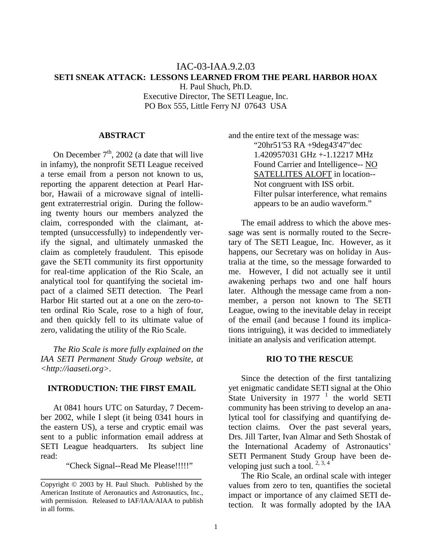# IAC-03-IAA.9.2.03 **SETI SNEAK ATTACK: LESSONS LEARNED FROM THE PEARL HARBOR HOAX** H. Paul Shuch, Ph.D.

Executive Director, The SETI League, Inc. PO Box 555, Little Ferry NJ 07643 USA

### **ABSTRACT**

On December  $7<sup>th</sup>$ , 2002 (a date that will live in infamy), the nonprofit SETI League received a terse email from a person not known to us, reporting the apparent detection at Pearl Harbor, Hawaii of a microwave signal of intelligent extraterrestrial origin. During the following twenty hours our members analyzed the claim, corresponded with the claimant, attempted (unsuccessfully) to independently verify the signal, and ultimately unmasked the claim as completely fraudulent. This episode gave the SETI community its first opportunity for real-time application of the Rio Scale, an analytical tool for quantifying the societal impact of a claimed SETI detection. The Pearl Harbor Hit started out at a one on the zero-toten ordinal Rio Scale, rose to a high of four, and then quickly fell to its ultimate value of zero, validating the utility of the Rio Scale.

 *The Rio Scale is more fully explained on the IAA SETI Permanent Study Group website, at <http://iaaseti.org>.* 

# **INTRODUCTION: THE FIRST EMAIL**

 At 0841 hours UTC on Saturday, 7 December 2002, while I slept (it being 0341 hours in the eastern US), a terse and cryptic email was sent to a public information email address at SETI League headquarters. Its subject line read:

"Check Signal--Read Me Please!!!!!"

**\_\_\_\_\_\_\_\_\_\_\_\_\_\_\_\_\_\_\_\_\_\_\_\_\_\_\_\_\_\_\_\_\_\_\_\_\_\_**

and the entire text of the message was: "20hr51'53 RA +9deg43'47"dec 1.420957031 GHz +-1.12217 MHz Found Carrier and Intelligence-- NO SATELLITES ALOFT in location-- Not congruent with ISS orbit. Filter pulsar interference, what remains appears to be an audio waveform."

The email address to which the above message was sent is normally routed to the Secretary of The SETI League, Inc. However, as it happens, our Secretary was on holiday in Australia at the time, so the message forwarded to me. However, I did not actually see it until awakening perhaps two and one half hours later. Although the message came from a nonmember, a person not known to The SETI League, owing to the inevitable delay in receipt of the email (and because I found its implications intriguing), it was decided to immediately initiate an analysis and verification attempt.

## **RIO TO THE RESCUE**

 Since the detection of the first tantalizing yet enigmatic candidate SETI signal at the Ohio State University in  $1977$ <sup>1</sup> the world SETI community has been striving to develop an analytical tool for classifying and quantifying detection claims. Over the past several years, Drs. Jill Tarter, Ivan Almar and Seth Shostak of the International Academy of Astronautics' SETI Permanent Study Group have been developing just such a tool.  $2, 3, 4$ 

 The Rio Scale, an ordinal scale with integer values from zero to ten, quantifies the societal impact or importance of any claimed SETI detection. It was formally adopted by the IAA

Copyright © 2003 by H. Paul Shuch. Published by the American Institute of Aeronautics and Astronautics, Inc., with permission. Released to IAF/IAA/AIAA to publish in all forms.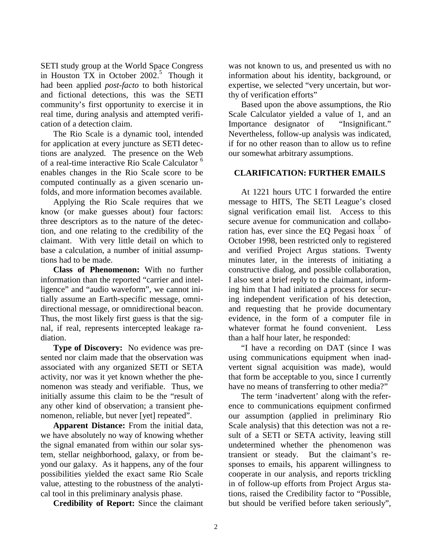SETI study group at the World Space Congress in Houston TX in October  $2002$ <sup>5</sup>. Though it had been applied *post-facto* to both historical and fictional detections, this was the SETI community's first opportunity to exercise it in real time, during analysis and attempted verification of a detection claim.

 The Rio Scale is a dynamic tool, intended for application at every juncture as SETI detections are analyzed. The presence on the Web of a real-time interactive Rio Scale Calculator<sup>6</sup> enables changes in the Rio Scale score to be computed continually as a given scenario unfolds, and more information becomes available.

 Applying the Rio Scale requires that we know (or make guesses about) four factors: three descriptors as to the nature of the detection, and one relating to the credibility of the claimant. With very little detail on which to base a calculation, a number of initial assumptions had to be made.

**Class of Phenomenon:** With no further information than the reported "carrier and intelligence" and "audio waveform", we cannot initially assume an Earth-specific message, omnidirectional message, or omnidirectional beacon. Thus, the most likely first guess is that the signal, if real, represents intercepted leakage radiation.

**Type of Discovery:** No evidence was presented nor claim made that the observation was associated with any organized SETI or SETA activity, nor was it yet known whether the phenomenon was steady and verifiable. Thus, we initially assume this claim to be the "result of any other kind of observation; a transient phenomenon, reliable, but never [yet] repeated".

**Apparent Distance:** From the initial data, we have absolutely no way of knowing whether the signal emanated from within our solar system, stellar neighborhood, galaxy, or from beyond our galaxy. As it happens, any of the four possibilities yielded the exact same Rio Scale value, attesting to the robustness of the analytical tool in this preliminary analysis phase.

**Credibility of Report:** Since the claimant

was not known to us, and presented us with no information about his identity, background, or expertise, we selected "very uncertain, but worthy of verification efforts"

 Based upon the above assumptions, the Rio Scale Calculator yielded a value of 1, and an Importance designator of "Insignificant." Nevertheless, follow-up analysis was indicated, if for no other reason than to allow us to refine our somewhat arbitrary assumptions.

# **CLARIFICATION: FURTHER EMAILS**

 At 1221 hours UTC I forwarded the entire message to HITS, The SETI League's closed signal verification email list. Access to this secure avenue for communication and collaboration has, ever since the EQ Pegasi hoax  $<sup>7</sup>$  of</sup> October 1998, been restricted only to registered and verified Project Argus stations. Twenty minutes later, in the interests of initiating a constructive dialog, and possible collaboration, I also sent a brief reply to the claimant, informing him that I had initiated a process for securing independent verification of his detection, and requesting that he provide documentary evidence, in the form of a computer file in whatever format he found convenient. Less than a half hour later, he responded:

 "I have a recording on DAT (since I was using communications equipment when inadvertent signal acquisition was made), would that form be acceptable to you, since I currently have no means of transferring to other media?"

 The term 'inadvertent' along with the reference to communications equipment confirmed our assumption (applied in preliminary Rio Scale analysis) that this detection was not a result of a SETI or SETA activity, leaving still undetermined whether the phenomenon was transient or steady. But the claimant's responses to emails, his apparent willingness to cooperate in our analysis, and reports trickling in of follow-up efforts from Project Argus stations, raised the Credibility factor to "Possible, but should be verified before taken seriously",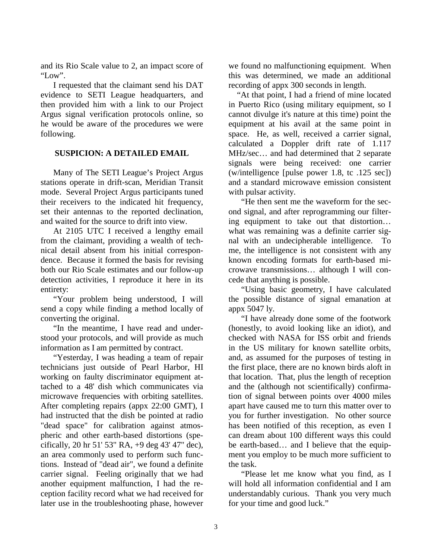and its Rio Scale value to 2, an impact score of "Low".

 I requested that the claimant send his DAT evidence to SETI League headquarters, and then provided him with a link to our Project Argus signal verification protocols online, so he would be aware of the procedures we were following.

# **SUSPICION: A DETAILED EMAIL**

 Many of The SETI League's Project Argus stations operate in drift-scan, Meridian Transit mode. Several Project Argus participants tuned their receivers to the indicated hit frequency, set their antennas to the reported declination, and waited for the source to drift into view.

 At 2105 UTC I received a lengthy email from the claimant, providing a wealth of technical detail absent from his initial correspondence. Because it formed the basis for revising both our Rio Scale estimates and our follow-up detection activities, I reproduce it here in its entirety:

 "Your problem being understood, I will send a copy while finding a method locally of converting the original.

 "In the meantime, I have read and understood your protocols, and will provide as much information as I am permitted by contract.

 "Yesterday, I was heading a team of repair technicians just outside of Pearl Harbor, HI working on faulty discriminator equipment attached to a 48' dish which communicates via microwave frequencies with orbiting satellites. After completing repairs (appx 22:00 GMT), I had instructed that the dish be pointed at radio "dead space" for calibration against atmospheric and other earth-based distortions (specifically, 20 hr 51' 53" RA, +9 deg 43' 47" dec), an area commonly used to perform such functions. Instead of "dead air", we found a definite carrier signal. Feeling originally that we had another equipment malfunction, I had the reception facility record what we had received for later use in the troubleshooting phase, however

we found no malfunctioning equipment. When this was determined, we made an additional recording of appx 300 seconds in length.

 "At that point, I had a friend of mine located in Puerto Rico (using military equipment, so I cannot divulge it's nature at this time) point the equipment at his avail at the same point in space. He, as well, received a carrier signal, calculated a Doppler drift rate of 1.117 MHz/sec… and had determined that 2 separate signals were being received: one carrier (w/intelligence [pulse power 1.8, tc .125 sec]) and a standard microwave emission consistent with pulsar activity.

 "He then sent me the waveform for the second signal, and after reprogramming our filtering equipment to take out that distortion… what was remaining was a definite carrier signal with an undecipherable intelligence. To me, the intelligence is not consistent with any known encoding formats for earth-based microwave transmissions… although I will concede that anything is possible.

 "Using basic geometry, I have calculated the possible distance of signal emanation at appx 5047 ly.

 "I have already done some of the footwork (honestly, to avoid looking like an idiot), and checked with NASA for ISS orbit and friends in the US military for known satellite orbits, and, as assumed for the purposes of testing in the first place, there are no known birds aloft in that location. That, plus the length of reception and the (although not scientifically) confirmation of signal between points over 4000 miles apart have caused me to turn this matter over to you for further investigation. No other source has been notified of this reception, as even I can dream about 100 different ways this could be earth-based… and I believe that the equipment you employ to be much more sufficient to the task.

 "Please let me know what you find, as I will hold all information confidential and I am understandably curious. Thank you very much for your time and good luck."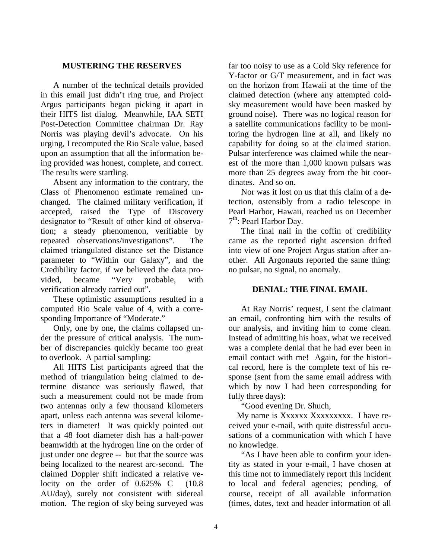# **MUSTERING THE RESERVES**

 A number of the technical details provided in this email just didn't ring true, and Project Argus participants began picking it apart in their HITS list dialog. Meanwhile, IAA SETI Post-Detection Committee chairman Dr. Ray Norris was playing devil's advocate. On his urging, I recomputed the Rio Scale value, based upon an assumption that all the information being provided was honest, complete, and correct. The results were startling.

 Absent any information to the contrary, the Class of Phenomenon estimate remained unchanged. The claimed military verification, if accepted, raised the Type of Discovery designator to "Result of other kind of observation; a steady phenomenon, verifiable by repeated observations/investigations". The claimed triangulated distance set the Distance parameter to "Within our Galaxy", and the Credibility factor, if we believed the data provided, became "Very probable, with verification already carried out".

 These optimistic assumptions resulted in a computed Rio Scale value of 4, with a corresponding Importance of "Moderate."

 Only, one by one, the claims collapsed under the pressure of critical analysis. The number of discrepancies quickly became too great to overlook. A partial sampling:

 All HITS List participants agreed that the method of triangulation being claimed to determine distance was seriously flawed, that such a measurement could not be made from two antennas only a few thousand kilometers apart, unless each antenna was several kilometers in diameter! It was quickly pointed out that a 48 foot diameter dish has a half-power beamwidth at the hydrogen line on the order of just under one degree -- but that the source was being localized to the nearest arc-second. The claimed Doppler shift indicated a relative velocity on the order of 0.625% C (10.8 AU/day), surely not consistent with sidereal motion. The region of sky being surveyed was

far too noisy to use as a Cold Sky reference for Y-factor or G/T measurement, and in fact was on the horizon from Hawaii at the time of the claimed detection (where any attempted coldsky measurement would have been masked by ground noise). There was no logical reason for a satellite communications facility to be monitoring the hydrogen line at all, and likely no capability for doing so at the claimed station. Pulsar interference was claimed while the nearest of the more than 1,000 known pulsars was more than 25 degrees away from the hit coordinates. And so on.

 Nor was it lost on us that this claim of a detection, ostensibly from a radio telescope in Pearl Harbor, Hawaii, reached us on December 7<sup>th</sup>: Pearl Harbor Day.

 The final nail in the coffin of credibility came as the reported right ascension drifted into view of one Project Argus station after another. All Argonauts reported the same thing: no pulsar, no signal, no anomaly.

## **DENIAL: THE FINAL EMAIL**

 At Ray Norris' request, I sent the claimant an email, confronting him with the results of our analysis, and inviting him to come clean. Instead of admitting his hoax, what we received was a complete denial that he had ever been in email contact with me! Again, for the historical record, here is the complete text of his response (sent from the same email address with which by now I had been corresponding for fully three days):

"Good evening Dr. Shuch,

My name is Xxxxxxxxxxxxxxx. I have received your e-mail, with quite distressful accusations of a communication with which I have no knowledge.

 "As I have been able to confirm your identity as stated in your e-mail, I have chosen at this time not to immediately report this incident to local and federal agencies; pending, of course, receipt of all available information (times, dates, text and header information of all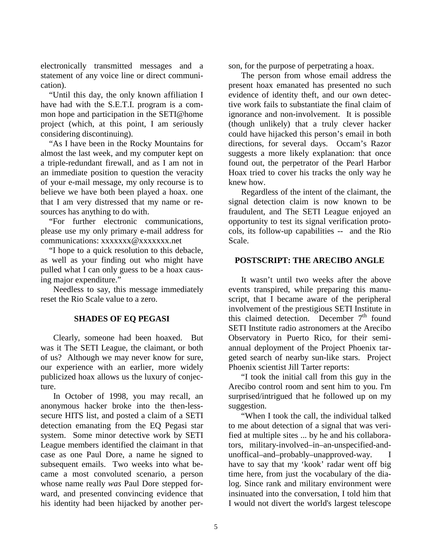electronically transmitted messages and a statement of any voice line or direct communication).

 "Until this day, the only known affiliation I have had with the S.E.T.I. program is a common hope and participation in the SETI@home project (which, at this point, I am seriously considering discontinuing).

 "As I have been in the Rocky Mountains for almost the last week, and my computer kept on a triple-redundant firewall, and as I am not in an immediate position to question the veracity of your e-mail message, my only recourse is to believe we have both been played a hoax. one that I am very distressed that my name or resources has anything to do with.

 "For further electronic communications, please use my only primary e-mail address for communications: xxxxxxx @xxxxxxx.net

 "I hope to a quick resolution to this debacle, as well as your finding out who might have pulled what I can only guess to be a hoax causing major expenditure."

 Needless to say, this message immediately reset the Rio Scale value to a zero.

# **SHADES OF EQ PEGASI**

 Clearly, someone had been hoaxed. But was it The SETI League, the claimant, or both of us? Although we may never know for sure, our experience with an earlier, more widely publicized hoax allows us the luxury of conjecture.

 In October of 1998, you may recall, an anonymous hacker broke into the then-lesssecure HITS list, and posted a claim of a SETI detection emanating from the EQ Pegasi star system. Some minor detective work by SETI League members identified the claimant in that case as one Paul Dore, a name he signed to subsequent emails. Two weeks into what became a most convoluted scenario, a person whose name really *was* Paul Dore stepped forward, and presented convincing evidence that his identity had been hijacked by another person, for the purpose of perpetrating a hoax.

 The person from whose email address the present hoax emanated has presented no such evidence of identity theft, and our own detective work fails to substantiate the final claim of ignorance and non-involvement. It is possible (though unlikely) that a truly clever hacker could have hijacked this person's email in both directions, for several days. Occam's Razor suggests a more likely explanation: that once found out, the perpetrator of the Pearl Harbor Hoax tried to cover his tracks the only way he knew how.

 Regardless of the intent of the claimant, the signal detection claim is now known to be fraudulent, and The SETI League enjoyed an opportunity to test its signal verification protocols, its follow-up capabilities -- and the Rio Scale.

## **POSTSCRIPT: THE ARECIBO ANGLE**

 It wasn't until two weeks after the above events transpired, while preparing this manuscript, that I became aware of the peripheral involvement of the prestigious SETI Institute in this claimed detection. December  $7<sup>th</sup>$  found SETI Institute radio astronomers at the Arecibo Observatory in Puerto Rico, for their semiannual deployment of the Project Phoenix targeted search of nearby sun-like stars. Project Phoenix scientist Jill Tarter reports:

 "I took the initial call from this guy in the Arecibo control room and sent him to you. I'm surprised/intrigued that he followed up on my suggestion.

 "When I took the call, the individual talked to me about detection of a signal that was verified at multiple sites ... by he and his collaborators, military-involved–in–an-unspecified-andunoffical–and–probably–unapproved-way. I have to say that my 'kook' radar went off big time here, from just the vocabulary of the dialog. Since rank and military environment were insinuated into the conversation, I told him that I would not divert the world's largest telescope